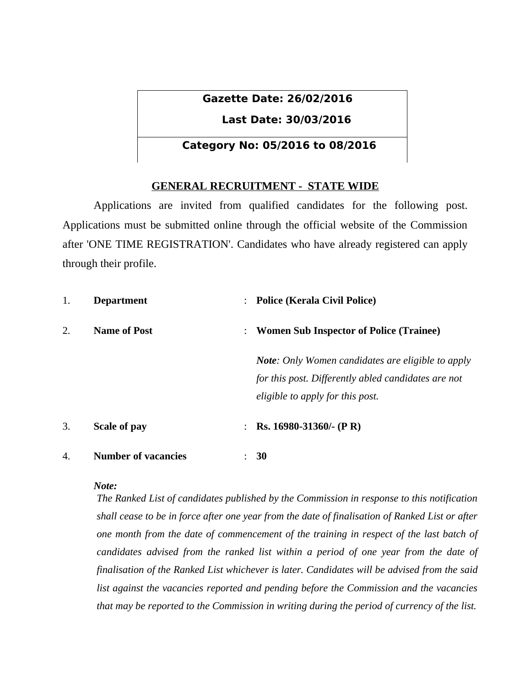# **Gazette Date: 26/02/2016**

# **Last Date: 30/03/2016**

# **Category No: 05/2016 to 08/2016**

# **GENERAL RECRUITMENT - STATE WIDE**

Applications are invited from qualified candidates for the following post. Applications must be submitted online through the official website of the Commission after 'ONE TIME REGISTRATION'. Candidates who have already registered can apply through their profile.

| 1. | <b>Department</b>          | <b>Police (Kerala Civil Police)</b><br>$\ddot{\phantom{a}}$                                                                                         |  |
|----|----------------------------|-----------------------------------------------------------------------------------------------------------------------------------------------------|--|
| 2. | <b>Name of Post</b>        | : Women Sub Inspector of Police (Trainee)                                                                                                           |  |
|    |                            | <b>Note:</b> Only Women candidates are eligible to apply<br>for this post. Differently abled candidates are not<br>eligible to apply for this post. |  |
| 3. | <b>Scale of pay</b>        | Rs. 16980-31360/- (P R)<br>$\ddot{\phantom{a}}$                                                                                                     |  |
| 4. | <b>Number of vacancies</b> | 30                                                                                                                                                  |  |

## *Note:*

*The Ranked List of candidates published by the Commission in response to this notification shall cease to be in force after one year from the date of finalisation of Ranked List or after one month from the date of commencement of the training in respect of the last batch of candidates advised from the ranked list within a period of one year from the date of finalisation of the Ranked List whichever is later. Candidates will be advised from the said list against the vacancies reported and pending before the Commission and the vacancies that may be reported to the Commission in writing during the period of currency of the list.*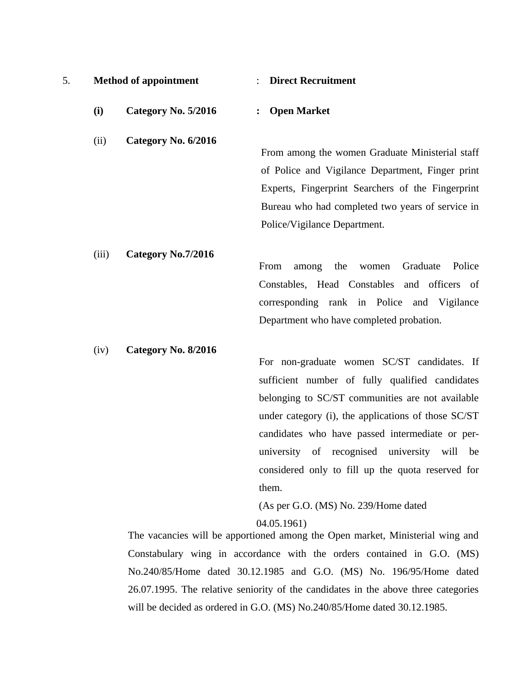| .ب | <b>Method of appointment</b> | <b>Direct Recruitment</b> |
|----|------------------------------|---------------------------|
|    |                              |                           |

**(i) Category No. 5/2016 : Open Market**

(ii) **Category No. 6/2016**

From among the women Graduate Ministerial staff of Police and Vigilance Department, Finger print Experts, Fingerprint Searchers of the Fingerprint Bureau who had completed two years of service in Police/Vigilance Department.

(iii) **Category No.7/2016** From among the women Graduate Police Constables, Head Constables and officers of corresponding rank in Police and Vigilance Department who have completed probation.

(iv) **Category No. 8/2016**

For non-graduate women SC/ST candidates. If sufficient number of fully qualified candidates belonging to SC/ST communities are not available under category (i), the applications of those SC/ST candidates who have passed intermediate or peruniversity of recognised university will be considered only to fill up the quota reserved for them.

(As per G.O. (MS) No. 239/Home dated

04.05.1961)

The vacancies will be apportioned among the Open market, Ministerial wing and Constabulary wing in accordance with the orders contained in G.O. (MS) No.240/85/Home dated 30.12.1985 and G.O. (MS) No. 196/95/Home dated 26.07.1995. The relative seniority of the candidates in the above three categories will be decided as ordered in G.O. (MS) No.240/85/Home dated 30.12.1985.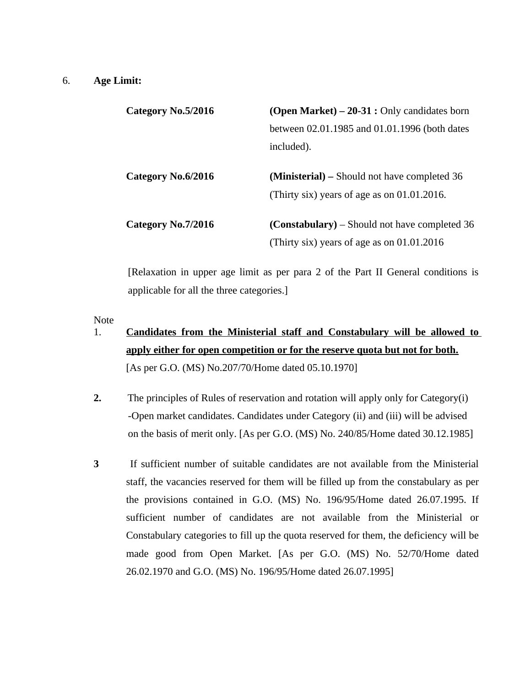## 6. **Age Limit:**

| Category No.5/2016 | <b>(Open Market)</b> $- 20-31$ : Only candidates born |  |
|--------------------|-------------------------------------------------------|--|
|                    | between 02.01.1985 and 01.01.1996 (both dates         |  |
|                    | included).                                            |  |
| Category No.6/2016 | <b>(Ministerial)</b> – Should not have completed 36   |  |
|                    | (Thirty six) years of age as on 01.01.2016.           |  |
| Category No.7/2016 | <b>(Constabulary)</b> – Should not have completed 36  |  |
|                    | (Thirty six) years of age as on 01.01.2016            |  |

[Relaxation in upper age limit as per para 2 of the Part II General conditions is applicable for all the three categories.]

#### Note

- 1. **Candidates from the Ministerial staff and Constabulary will be allowed to apply either for open competition or for the reserve quota but not for both.** [As per G.O. (MS) No.207/70/Home dated 05.10.1970]
- **2.** The principles of Rules of reservation and rotation will apply only for Category(i) -Open market candidates. Candidates under Category (ii) and (iii) will be advised on the basis of merit only. [As per G.O. (MS) No. 240/85/Home dated 30.12.1985]
- **3** If sufficient number of suitable candidates are not available from the Ministerial staff, the vacancies reserved for them will be filled up from the constabulary as per the provisions contained in G.O. (MS) No. 196/95/Home dated 26.07.1995. If sufficient number of candidates are not available from the Ministerial or Constabulary categories to fill up the quota reserved for them, the deficiency will be made good from Open Market. [As per G.O. (MS) No. 52/70/Home dated 26.02.1970 and G.O. (MS) No. 196/95/Home dated 26.07.1995]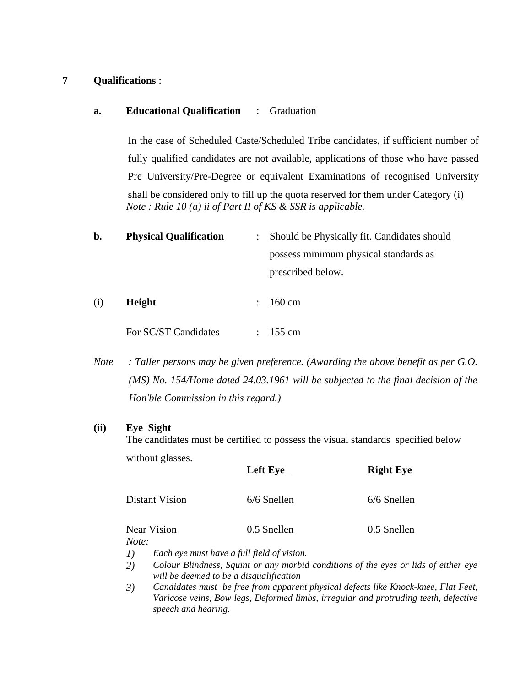# **7 Qualifications** :

# **a. Educational Qualification** : Graduation

In the case of Scheduled Caste/Scheduled Tribe candidates, if sufficient number of fully qualified candidates are not available, applications of those who have passed Pre University/Pre-Degree or equivalent Examinations of recognised University shall be considered only to fill up the quota reserved for them under Category (i) *Note : Rule 10 (a) ii of Part II of KS & SSR is applicable.*

**b. Physical Qualification** : Should be Physically fit. Candidates should possess minimum physical standards as prescribed below.

| (i) | Height               | $\therefore$ 160 cm  |
|-----|----------------------|----------------------|
|     | For SC/ST Candidates | $: 155 \, \text{cm}$ |

*Note : Taller persons may be given preference. (Awarding the above benefit as per G.O. (MS) No. 154/Home dated 24.03.1961 will be subjected to the final decision of the Hon'ble Commission in this regard.)*

## **(ii) Eye Sight**

The candidates must be certified to possess the visual standards specified below without glasses.

|                                                                   | <b>Left Eye</b>                                                   | <b>Right Eye</b>                        |
|-------------------------------------------------------------------|-------------------------------------------------------------------|-----------------------------------------|
| <b>Distant Vision</b>                                             | 6/6 Snellen                                                       | 6/6 Snellen                             |
| <b>Near Vision</b><br>Note:                                       | 0.5 Snellen                                                       | 0.5 Snellen                             |
| Each eye must have a full field of vision.<br>1)<br>$\sim$ $\sim$ | $\alpha$ in the set of the set of $\alpha$ is the set of $\alpha$ | $\cdots$<br>$\mathcal{L}$ $\mathcal{L}$ |

- *2) Colour Blindness, Squint or any morbid conditions of the eyes or lids of either eye will be deemed to be a disqualification*
- *3) Candidates must be free from apparent physical defects like Knock-knee, Flat Feet, Varicose veins, Bow legs, Deformed limbs, irregular and protruding teeth, defective speech and hearing.*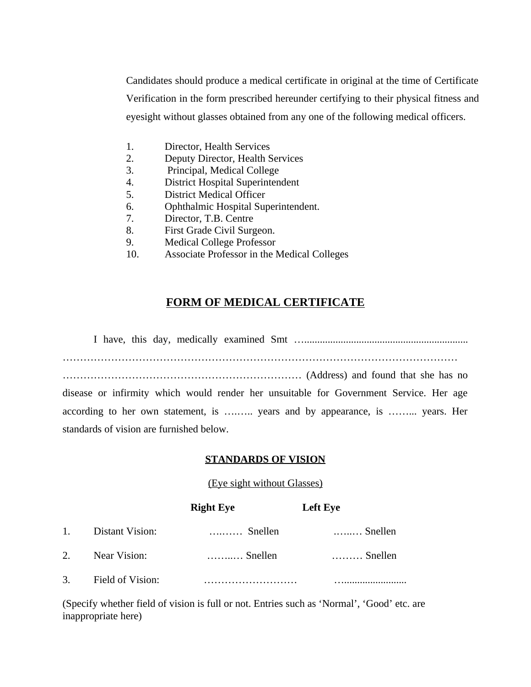Candidates should produce a medical certificate in original at the time of Certificate Verification in the form prescribed hereunder certifying to their physical fitness and eyesight without glasses obtained from any one of the following medical officers.

- 1. Director, Health Services
- 2. Deputy Director, Health Services
- 3. Principal, Medical College
- 4. District Hospital Superintendent
- 5. District Medical Officer
- 6. Ophthalmic Hospital Superintendent.
- 7. Director, T.B. Centre
- 8. First Grade Civil Surgeon.
- 9. Medical College Professor
- 10. Associate Professor in the Medical Colleges

# **FORM OF MEDICAL CERTIFICATE**

I have, this day, medically examined Smt …............................................................... …………………………………………………………………………………………………… …………………………………………………………… (Address) and found that she has no disease or infirmity which would render her unsuitable for Government Service. Her age according to her own statement, is ……... years and by appearance, is ……... years. Her standards of vision are furnished below.

## **STANDARDS OF VISION**

## (Eye sight without Glasses)

|    |                  | <b>Right Eye</b> | <b>Left Eye</b>  |
|----|------------------|------------------|------------------|
| 1. | Distant Vision:  | Snellen          | Snellen          |
|    | 2. Near Vision:  | Snellen          | $\ldots$ Snellen |
| 3. | Field of Vision: |                  |                  |

(Specify whether field of vision is full or not. Entries such as 'Normal', 'Good' etc. are inappropriate here)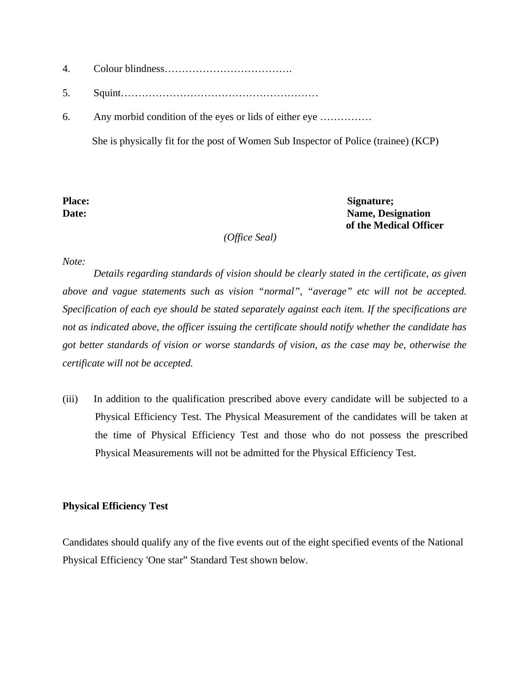- 4. Colour blindness……………………………….
- 5. Squint…………………………………………………
- 6. Any morbid condition of the eyes or lids of either eye ……………

She is physically fit for the post of Women Sub Inspector of Police (trainee) (KCP)

Place: Signature; **Date:** Name, Designation  **of the Medical Officer**

 *(Office Seal)*

#### *Note:*

*Details regarding standards of vision should be clearly stated in the certificate, as given above and vague statements such as vision "normal", "average" etc will not be accepted. Specification of each eye should be stated separately against each item. If the specifications are not as indicated above, the officer issuing the certificate should notify whether the candidate has got better standards of vision or worse standards of vision, as the case may be, otherwise the certificate will not be accepted.*

(iii) In addition to the qualification prescribed above every candidate will be subjected to a Physical Efficiency Test. The Physical Measurement of the candidates will be taken at the time of Physical Efficiency Test and those who do not possess the prescribed Physical Measurements will not be admitted for the Physical Efficiency Test.

#### **Physical Efficiency Test**

Candidates should qualify any of the five events out of the eight specified events of the National Physical Efficiency 'One star" Standard Test shown below.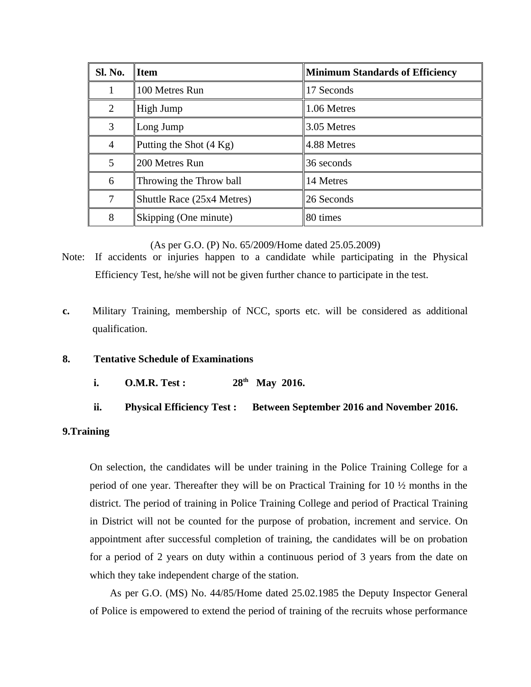| Sl. No.        | <b>Item</b>                | <b>Minimum Standards of Efficiency</b> |
|----------------|----------------------------|----------------------------------------|
| 1              | 100 Metres Run             | 17 Seconds                             |
| $\overline{2}$ | High Jump                  | 1.06 Metres                            |
| 3              | Long Jump                  | 3.05 Metres                            |
| 4              | Putting the Shot (4 Kg)    | 4.88 Metres                            |
| 5              | 200 Metres Run             | 36 seconds                             |
| 6              | Throwing the Throw ball    | 14 Metres                              |
| 7              | Shuttle Race (25x4 Metres) | 26 Seconds                             |
| 8              | Skipping (One minute)      | 80 times                               |

(As per G.O. (P) No. 65/2009/Home dated 25.05.2009)

- Note: If accidents or injuries happen to a candidate while participating in the Physical Efficiency Test, he/she will not be given further chance to participate in the test.
- **c.** Military Training, membership of NCC, sports etc. will be considered as additional qualification.

## **8. Tentative Schedule of Examinations**

- **i. O.M.R. Test :** 28<sup>th</sup> May 2016.
- **ii. Physical Efficiency Test : Between September 2016 and November 2016.**

#### **9.Training**

On selection, the candidates will be under training in the Police Training College for a period of one year. Thereafter they will be on Practical Training for 10 ½ months in the district. The period of training in Police Training College and period of Practical Training in District will not be counted for the purpose of probation, increment and service. On appointment after successful completion of training, the candidates will be on probation for a period of 2 years on duty within a continuous period of 3 years from the date on which they take independent charge of the station.

As per G.O. (MS) No. 44/85/Home dated 25.02.1985 the Deputy Inspector General of Police is empowered to extend the period of training of the recruits whose performance